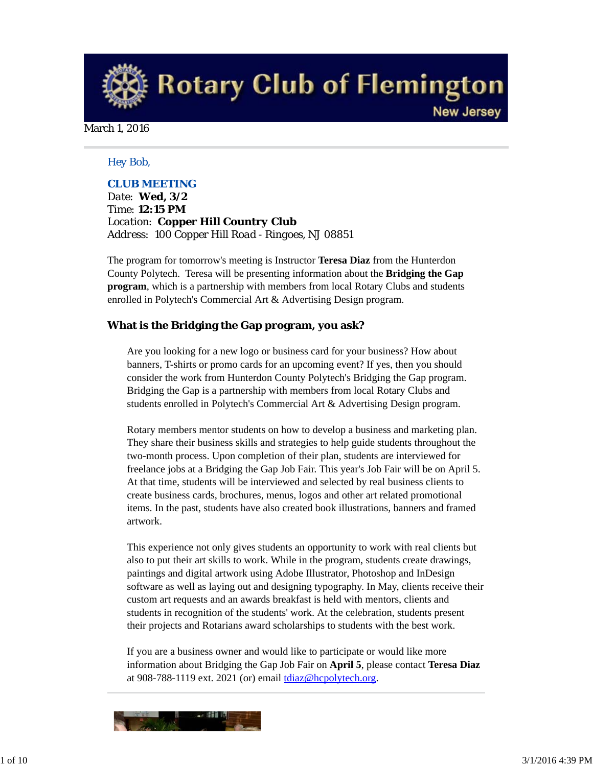**Rotary Club of Flemington New Jersey** 

March 1, 2016

## *Hey Bob,*

## *CLUB MEETING*

*Date: Wed, 3/2 Time: 12:15 PM Location: Copper Hill Country Club Address: 100 Copper Hill Road - Ringoes, NJ 08851*

The program for tomorrow's meeting is Instructor **Teresa Diaz** from the Hunterdon County Polytech. Teresa will be presenting information about the **Bridging the Gap program**, which is a partnership with members from local Rotary Clubs and students enrolled in Polytech's Commercial Art & Advertising Design program.

#### **What is the Bridging the Gap program, you ask?**

Are you looking for a new logo or business card for your business? How about banners, T-shirts or promo cards for an upcoming event? If yes, then you should consider the work from Hunterdon County Polytech's Bridging the Gap program. Bridging the Gap is a partnership with members from local Rotary Clubs and students enrolled in Polytech's Commercial Art & Advertising Design program.

Rotary members mentor students on how to develop a business and marketing plan. They share their business skills and strategies to help guide students throughout the two-month process. Upon completion of their plan, students are interviewed for freelance jobs at a Bridging the Gap Job Fair. This year's Job Fair will be on April 5. At that time, students will be interviewed and selected by real business clients to create business cards, brochures, menus, logos and other art related promotional items. In the past, students have also created book illustrations, banners and framed artwork.

This experience not only gives students an opportunity to work with real clients but also to put their art skills to work. While in the program, students create drawings, paintings and digital artwork using Adobe Illustrator, Photoshop and InDesign software as well as laying out and designing typography. In May, clients receive their custom art requests and an awards breakfast is held with mentors, clients and students in recognition of the students' work. At the celebration, students present their projects and Rotarians award scholarships to students with the best work.

If you are a business owner and would like to participate or would like more information about Bridging the Gap Job Fair on **April 5**, please contact **Teresa Diaz** at 908-788-1119 ext. 2021 (or) email tdiaz@hcpolytech.org.

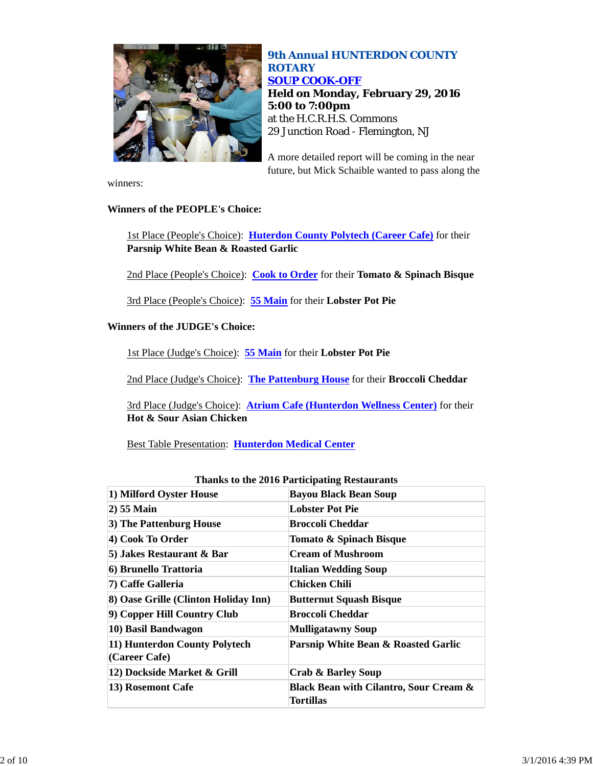

## *9th Annual HUNTERDON COUNTY ROTARY SOUP COOK-OFF* **Held on Monday, February 29, 2016 5:00 to 7:00pm** at the H.C.R.H.S. Commons 29 Junction Road - Flemington, NJ

A more detailed report will be coming in the near future, but Mick Schaible wanted to pass along the

winners:

## **Winners of the PEOPLE's Choice:**

1st Place (People's Choice): **Huterdon County Polytech (Career Cafe)** for their **Parsnip White Bean & Roasted Garlic** 

2nd Place (People's Choice): **Cook to Order** for their **Tomato & Spinach Bisque** 

3rd Place (People's Choice): **55 Main** for their **Lobster Pot Pie** 

## **Winners of the JUDGE's Choice:**

1st Place (Judge's Choice): **55 Main** for their **Lobster Pot Pie** 

2nd Place (Judge's Choice): **The Pattenburg House** for their **Broccoli Cheddar** 

3rd Place (Judge's Choice): **Atrium Cafe (Hunterdon Wellness Center)** for their **Hot & Sour Asian Chicken**

Best Table Presentation: **Hunterdon Medical Center**

|                                                | Thanks to the 2016 Participating Restaurants                   |  |
|------------------------------------------------|----------------------------------------------------------------|--|
| 1) Milford Oyster House                        | <b>Bayou Black Bean Soup</b>                                   |  |
| 2) 55 Main                                     | <b>Lobster Pot Pie</b>                                         |  |
| 3) The Pattenburg House                        | Broccoli Cheddar                                               |  |
| 4) Cook To Order                               | Tomato & Spinach Bisque                                        |  |
| 5) Jakes Restaurant & Bar                      | <b>Cream of Mushroom</b>                                       |  |
| 6) Brunello Trattoria                          | <b>Italian Wedding Soup</b>                                    |  |
| 7) Caffe Galleria                              | Chicken Chili                                                  |  |
| 8) Oase Grille (Clinton Holiday Inn)           | <b>Butternut Squash Bisque</b>                                 |  |
| 9) Copper Hill Country Club                    | <b>Broccoli Cheddar</b>                                        |  |
| 10) Basil Bandwagon                            | <b>Mulligatawny Soup</b>                                       |  |
| 11) Hunterdon County Polytech<br>(Career Cafe) | Parsnip White Bean & Roasted Garlic                            |  |
| 12) Dockside Market & Grill                    | <b>Crab &amp; Barley Soup</b>                                  |  |
| 13) Rosemont Cafe                              | <b>Black Bean with Cilantro, Sour Cream &amp;</b><br>Tortillas |  |

#### **Thanks to the 2016 Participating Restaurants**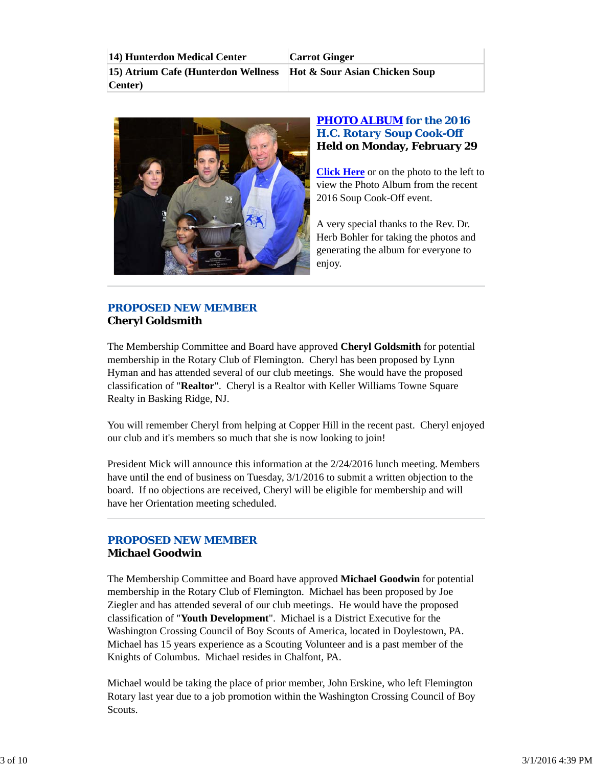**14) Hunterdon Medical Center Carrot Ginger 15) Atrium Cafe (Hunterdon Wellness Center) Hot & Sour Asian Chicken Soup**



## *PHOTO ALBUM for the 2016 H.C. Rotary Soup Cook-Off* **Held on Monday, February 29**

**Click Here** or on the photo to the left to view the Photo Album from the recent 2016 Soup Cook-Off event.

A very special thanks to the Rev. Dr. Herb Bohler for taking the photos and generating the album for everyone to enjoy.

## *PROPOSED NEW MEMBER* **Cheryl Goldsmith**

The Membership Committee and Board have approved **Cheryl Goldsmith** for potential membership in the Rotary Club of Flemington. Cheryl has been proposed by Lynn Hyman and has attended several of our club meetings. She would have the proposed classification of "**Realtor**". Cheryl is a Realtor with Keller Williams Towne Square Realty in Basking Ridge, NJ.

You will remember Cheryl from helping at Copper Hill in the recent past. Cheryl enjoyed our club and it's members so much that she is now looking to join!

President Mick will announce this information at the 2/24/2016 lunch meeting. Members have until the end of business on Tuesday, 3/1/2016 to submit a written objection to the board. If no objections are received, Cheryl will be eligible for membership and will have her Orientation meeting scheduled.

## *PROPOSED NEW MEMBER* **Michael Goodwin**

The Membership Committee and Board have approved **Michael Goodwin** for potential membership in the Rotary Club of Flemington. Michael has been proposed by Joe Ziegler and has attended several of our club meetings. He would have the proposed classification of "**Youth Development**". Michael is a District Executive for the Washington Crossing Council of Boy Scouts of America, located in Doylestown, PA. Michael has 15 years experience as a Scouting Volunteer and is a past member of the Knights of Columbus. Michael resides in Chalfont, PA.

Michael would be taking the place of prior member, John Erskine, who left Flemington Rotary last year due to a job promotion within the Washington Crossing Council of Boy Scouts.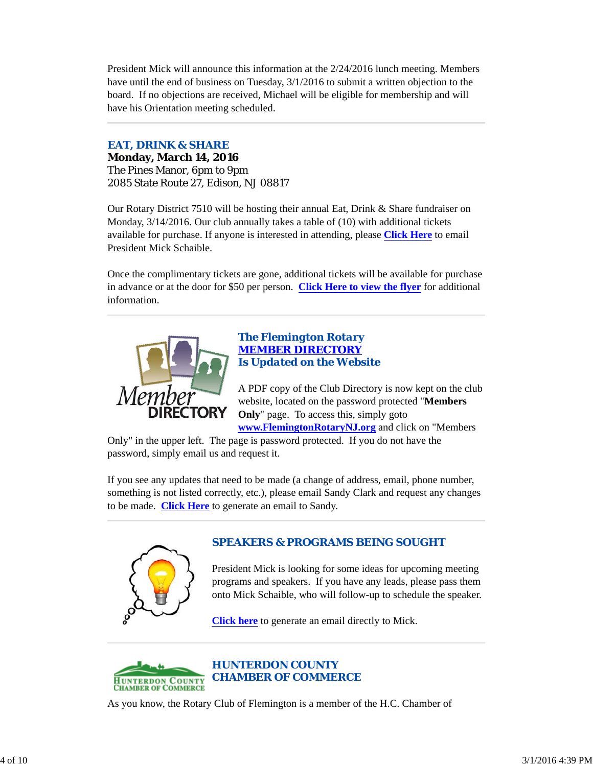President Mick will announce this information at the 2/24/2016 lunch meeting. Members have until the end of business on Tuesday, 3/1/2016 to submit a written objection to the board. If no objections are received, Michael will be eligible for membership and will have his Orientation meeting scheduled.

## *EAT, DRINK & SHARE*

**Monday, March 14, 2016** The Pines Manor, 6pm to 9pm 2085 State Route 27, Edison, NJ 08817

Our Rotary District 7510 will be hosting their annual Eat, Drink & Share fundraiser on Monday, 3/14/2016. Our club annually takes a table of (10) with additional tickets available for purchase. If anyone is interested in attending, please **Click Here** to email President Mick Schaible.

Once the complimentary tickets are gone, additional tickets will be available for purchase in advance or at the door for \$50 per person. **Click Here to view the flyer** for additional information.



## *The Flemington Rotary MEMBER DIRECTORY Is Updated on the Website*

A PDF copy of the Club Directory is now kept on the club website, located on the password protected "**Members Only**" page. To access this, simply goto **www.FlemingtonRotaryNJ.org** and click on "Members

Only" in the upper left. The page is password protected. If you do not have the password, simply email us and request it.

If you see any updates that need to be made (a change of address, email, phone number, something is not listed correctly, etc.), please email Sandy Clark and request any changes to be made. **Click Here** to generate an email to Sandy.



# *SPEAKERS & PROGRAMS BEING SOUGHT*

President Mick is looking for some ideas for upcoming meeting programs and speakers. If you have any leads, please pass them onto Mick Schaible, who will follow-up to schedule the speaker.

**Click here** to generate an email directly to Mick.



As you know, the Rotary Club of Flemington is a member of the H.C. Chamber of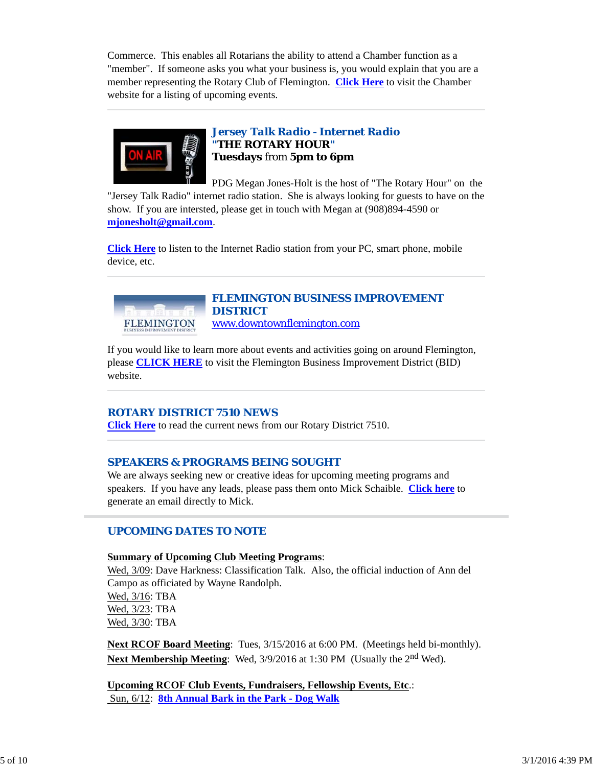Commerce. This enables all Rotarians the ability to attend a Chamber function as a "member". If someone asks you what your business is, you would explain that you are a member representing the Rotary Club of Flemington. **Click Here** to visit the Chamber website for a listing of upcoming events.



## *Jersey Talk Radio - Internet Radio "THE ROTARY HOUR"* **Tuesdays** from **5pm to 6pm**

PDG Megan Jones-Holt is the host of "The Rotary Hour" on the "Jersey Talk Radio" internet radio station. She is always looking for guests to have on the show. If you are intersted, please get in touch with Megan at (908)894-4590 or **mjonesholt@gmail.com**.

**Click Here** to listen to the Internet Radio station from your PC, smart phone, mobile device, etc.



## *FLEMINGTON BUSINESS IMPROVEMENT DISTRICT* www.downtownflemington.com

If you would like to learn more about events and activities going on around Flemington, please **CLICK HERE** to visit the Flemington Business Improvement District (BID) website.

## *ROTARY DISTRICT 7510 NEWS*

**Click Here** to read the current news from our Rotary District 7510.

## *SPEAKERS & PROGRAMS BEING SOUGHT*

We are always seeking new or creative ideas for upcoming meeting programs and speakers. If you have any leads, please pass them onto Mick Schaible. **Click here** to generate an email directly to Mick.

## *UPCOMING DATES TO NOTE*

#### **Summary of Upcoming Club Meeting Programs**:

Wed, 3/09: Dave Harkness: Classification Talk. Also, the official induction of Ann del Campo as officiated by Wayne Randolph. Wed, 3/16: TBA Wed, 3/23: TBA Wed, 3/30: TBA

**Next RCOF Board Meeting**: Tues, 3/15/2016 at 6:00 PM. (Meetings held bi-monthly). **Next Membership Meeting**: Wed, 3/9/2016 at 1:30 PM (Usually the 2<sup>nd</sup> Wed).

**Upcoming RCOF Club Events, Fundraisers, Fellowship Events, Etc**.: Sun, 6/12: **8th Annual Bark in the Park - Dog Walk**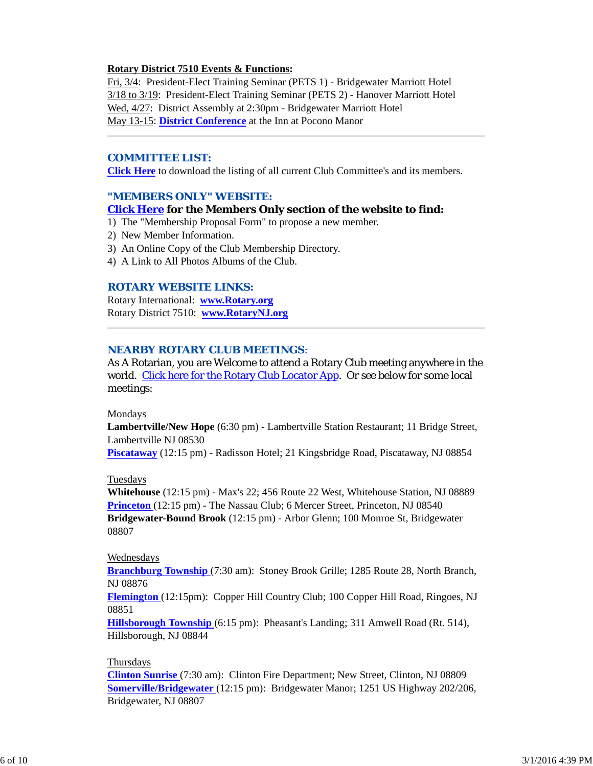## **Rotary District 7510 Events & Functions:**

Fri, 3/4: President-Elect Training Seminar (PETS 1) - Bridgewater Marriott Hotel 3/18 to 3/19: President-Elect Training Seminar (PETS 2) - Hanover Marriott Hotel Wed, 4/27: District Assembly at 2:30pm - Bridgewater Marriott Hotel May 13-15: **District Conference** at the Inn at Pocono Manor

## *COMMITTEE LIST:*

**Click Here** to download the listing of all current Club Committee's and its members.

## *"MEMBERS ONLY" WEBSITE:*

#### **Click Here for the Members Only section of the website to find:**

- 1) The "Membership Proposal Form" to propose a new member.
- 2) New Member Information.
- 3) An Online Copy of the Club Membership Directory.
- 4) A Link to All Photos Albums of the Club.

## *ROTARY WEBSITE LINKS:*

Rotary International: **www.Rotary.org** Rotary District 7510: **www.RotaryNJ.org**

## *NEARBY ROTARY CLUB MEETINGS:*

As A Rotarian, you are Welcome to attend a Rotary Club meeting anywhere in the world. Click here for the Rotary Club Locator App. Or see below for some local meetings:

#### Mondays

**Lambertville/New Hope** (6:30 pm) - Lambertville Station Restaurant; 11 Bridge Street, Lambertville NJ 08530

**Piscataway** (12:15 pm) - Radisson Hotel; 21 Kingsbridge Road, Piscataway, NJ 08854

#### Tuesdays

**Whitehouse** (12:15 pm) - Max's 22; 456 Route 22 West, Whitehouse Station, NJ 08889 **Princeton** (12:15 pm) - The Nassau Club; 6 Mercer Street, Princeton, NJ 08540 **Bridgewater-Bound Brook** (12:15 pm) - Arbor Glenn; 100 Monroe St, Bridgewater 08807

#### Wednesdays

**Branchburg Township** (7:30 am): Stoney Brook Grille; 1285 Route 28, North Branch, NJ 08876

**Flemington** (12:15pm): Copper Hill Country Club; 100 Copper Hill Road, Ringoes, NJ 08851

**Hillsborough Township** (6:15 pm): Pheasant's Landing; 311 Amwell Road (Rt. 514), Hillsborough, NJ 08844

#### Thursdays

**Clinton Sunrise** (7:30 am): Clinton Fire Department; New Street, Clinton, NJ 08809 **Somerville/Bridgewater** (12:15 pm): Bridgewater Manor; 1251 US Highway 202/206, Bridgewater, NJ 08807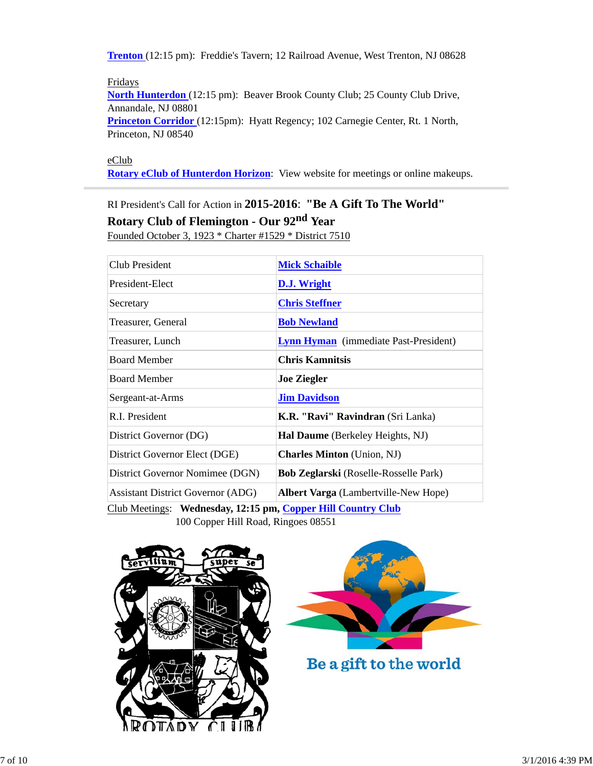**Trenton** (12:15 pm): Freddie's Tavern; 12 Railroad Avenue, West Trenton, NJ 08628

Fridays **North Hunterdon** (12:15 pm): Beaver Brook County Club; 25 County Club Drive, Annandale, NJ 08801 **Princeton Corridor** (12:15pm): Hyatt Regency; 102 Carnegie Center, Rt. 1 North, Princeton, NJ 08540

eClub

**Rotary eClub of Hunterdon Horizon**: View website for meetings or online makeups.

RI President's Call for Action in **2015-2016**: **"Be A Gift To The World"**

**Rotary Club of Flemington - Our 92nd Year**

Founded October 3, 1923 \* Charter #1529 \* District 7510

| <b>Club President</b>                                        | <b>Mick Schaible</b>                         |  |  |
|--------------------------------------------------------------|----------------------------------------------|--|--|
| President-Elect                                              | D.J. Wright                                  |  |  |
| Secretary                                                    | <b>Chris Steffner</b>                        |  |  |
| Treasurer, General                                           | <b>Bob Newland</b>                           |  |  |
| Treasurer, Lunch                                             | <b>Lynn Hyman</b> (immediate Past-President) |  |  |
| <b>Board Member</b>                                          | <b>Chris Kamnitsis</b>                       |  |  |
| <b>Board Member</b>                                          | <b>Joe Ziegler</b>                           |  |  |
| Sergeant-at-Arms                                             | <b>Jim Davidson</b>                          |  |  |
| R.I. President                                               | <b>K.R. "Ravi" Ravindran</b> (Sri Lanka)     |  |  |
| District Governor (DG)                                       | <b>Hal Daume</b> (Berkeley Heights, NJ)      |  |  |
| District Governor Elect (DGE)                                | <b>Charles Minton</b> (Union, NJ)            |  |  |
| District Governor Nomimee (DGN)                              | <b>Bob Zeglarski</b> (Roselle-Rosselle Park) |  |  |
| <b>Assistant District Governor (ADG)</b>                     | <b>Albert Varga</b> (Lambertville-New Hope)  |  |  |
| Club Meetings: Wednesday, 12:15 pm, Copper Hill Country Club |                                              |  |  |

100 Copper Hill Road, Ringoes 08551





Be a gift to the world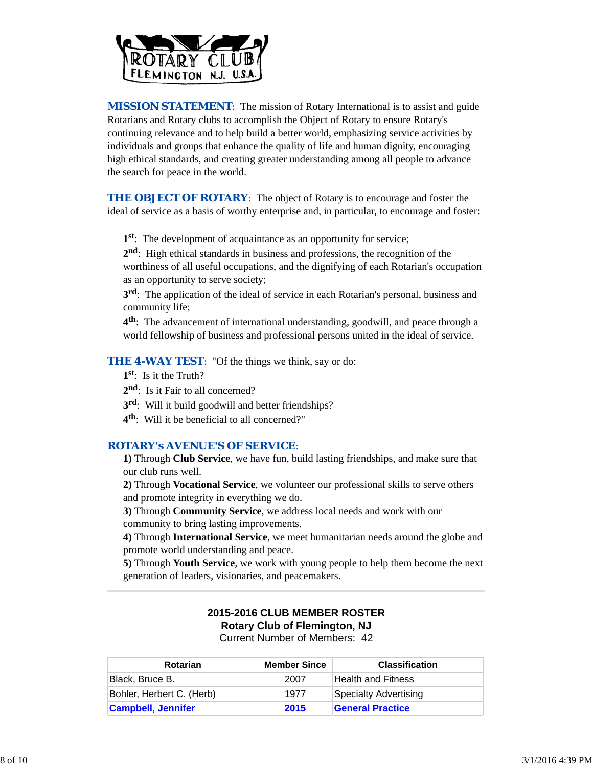

**MISSION STATEMENT:** The mission of Rotary International is to assist and guide Rotarians and Rotary clubs to accomplish the Object of Rotary to ensure Rotary's continuing relevance and to help build a better world, emphasizing service activities by individuals and groups that enhance the quality of life and human dignity, encouraging high ethical standards, and creating greater understanding among all people to advance the search for peace in the world.

**THE OBJECT OF ROTARY:** The object of Rotary is to encourage and foster the ideal of service as a basis of worthy enterprise and, in particular, to encourage and foster:

**1st**: The development of acquaintance as an opportunity for service;

**2nd**: High ethical standards in business and professions, the recognition of the worthiness of all useful occupations, and the dignifying of each Rotarian's occupation as an opportunity to serve society;

**3rd**: The application of the ideal of service in each Rotarian's personal, business and community life;

**4th**: The advancement of international understanding, goodwill, and peace through a world fellowship of business and professional persons united in the ideal of service.

**THE 4-WAY TEST**: "Of the things we think, say or do:

- **1st**: Is it the Truth?
- 2<sup>nd</sup>: Is it Fair to all concerned?
- **3rd**: Will it build goodwill and better friendships?
- **4th**: Will it be beneficial to all concerned?"

## *ROTARY's AVENUE'S OF SERVICE*:

**1)** Through **Club Service**, we have fun, build lasting friendships, and make sure that our club runs well.

**2)** Through **Vocational Service**, we volunteer our professional skills to serve others and promote integrity in everything we do.

**3)** Through **Community Service**, we address local needs and work with our community to bring lasting improvements.

**4)** Through **International Service**, we meet humanitarian needs around the globe and promote world understanding and peace.

**5)** Through **Youth Service**, we work with young people to help them become the next generation of leaders, visionaries, and peacemakers.

## **2015-2016 CLUB MEMBER ROSTER Rotary Club of Flemington, NJ** Current Number of Members: 42

**Rotarian Member Since Classification** Black, Bruce B. 2007 Health and Fitness Bohler, Herbert C. (Herb) 1977 Specialty Advertising **Campbell, Jennifer 2015 General Practice**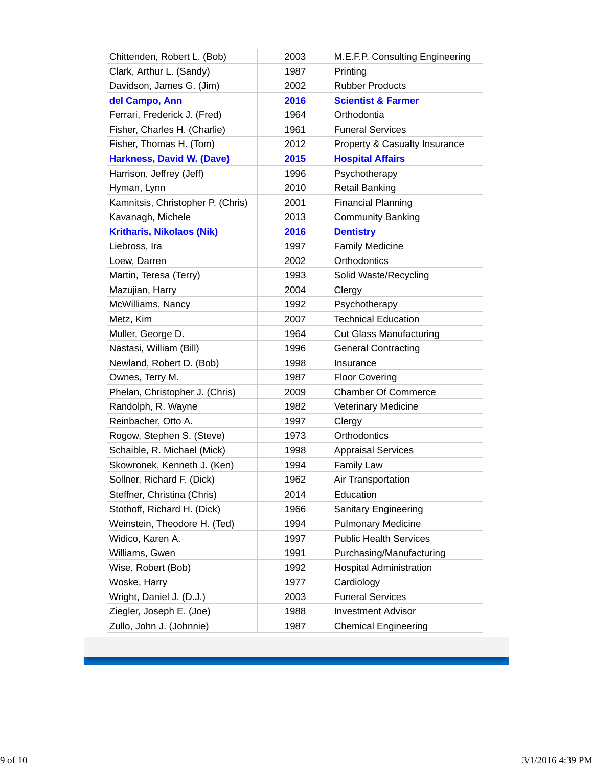| Chittenden, Robert L. (Bob)       | 2003 | M.E.F.P. Consulting Engineering |
|-----------------------------------|------|---------------------------------|
| Clark, Arthur L. (Sandy)          | 1987 | Printing                        |
| Davidson, James G. (Jim)          | 2002 | <b>Rubber Products</b>          |
| del Campo, Ann                    | 2016 | <b>Scientist &amp; Farmer</b>   |
| Ferrari, Frederick J. (Fred)      | 1964 | Orthodontia                     |
| Fisher, Charles H. (Charlie)      | 1961 | <b>Funeral Services</b>         |
| Fisher, Thomas H. (Tom)           | 2012 | Property & Casualty Insurance   |
| <b>Harkness, David W. (Dave)</b>  | 2015 | <b>Hospital Affairs</b>         |
| Harrison, Jeffrey (Jeff)          | 1996 | Psychotherapy                   |
| Hyman, Lynn                       | 2010 | <b>Retail Banking</b>           |
| Kamnitsis, Christopher P. (Chris) | 2001 | <b>Financial Planning</b>       |
| Kavanagh, Michele                 | 2013 | <b>Community Banking</b>        |
| <b>Kritharis, Nikolaos (Nik)</b>  | 2016 | <b>Dentistry</b>                |
| Liebross, Ira                     | 1997 | <b>Family Medicine</b>          |
| Loew, Darren                      | 2002 | Orthodontics                    |
| Martin, Teresa (Terry)            | 1993 | Solid Waste/Recycling           |
| Mazujian, Harry                   | 2004 | Clergy                          |
| McWilliams, Nancy                 | 1992 | Psychotherapy                   |
| Metz, Kim                         | 2007 | <b>Technical Education</b>      |
| Muller, George D.                 | 1964 | <b>Cut Glass Manufacturing</b>  |
| Nastasi, William (Bill)           | 1996 | <b>General Contracting</b>      |
| Newland, Robert D. (Bob)          | 1998 | Insurance                       |
| Ownes, Terry M.                   | 1987 | <b>Floor Covering</b>           |
| Phelan, Christopher J. (Chris)    | 2009 | <b>Chamber Of Commerce</b>      |
| Randolph, R. Wayne                | 1982 | <b>Veterinary Medicine</b>      |
| Reinbacher, Otto A.               | 1997 | Clergy                          |
| Rogow, Stephen S. (Steve)         | 1973 | Orthodontics                    |
| Schaible, R. Michael (Mick)       | 1998 | <b>Appraisal Services</b>       |
| Skowronek, Kenneth J. (Ken)       | 1994 | <b>Family Law</b>               |
| Sollner, Richard F. (Dick)        | 1962 | Air Transportation              |
| Steffner, Christina (Chris)       | 2014 | Education                       |
| Stothoff, Richard H. (Dick)       | 1966 | Sanitary Engineering            |
| Weinstein, Theodore H. (Ted)      | 1994 | <b>Pulmonary Medicine</b>       |
| Widico, Karen A.                  | 1997 | <b>Public Health Services</b>   |
| Williams, Gwen                    | 1991 | Purchasing/Manufacturing        |
| Wise, Robert (Bob)                | 1992 | <b>Hospital Administration</b>  |
| Woske, Harry                      | 1977 | Cardiology                      |
| Wright, Daniel J. (D.J.)          | 2003 | <b>Funeral Services</b>         |
| Ziegler, Joseph E. (Joe)          | 1988 | <b>Investment Advisor</b>       |
| Zullo, John J. (Johnnie)          | 1987 | <b>Chemical Engineering</b>     |